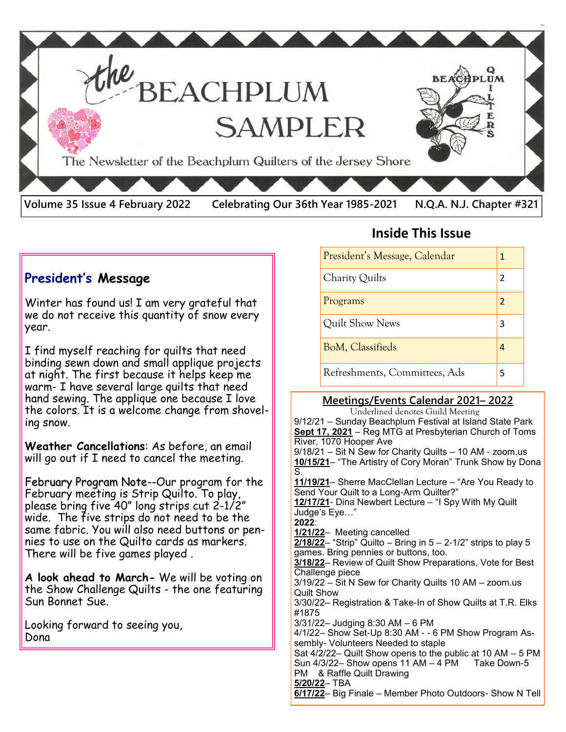

#### **President's Message**

Winter has found us! I am very grateful that we do not receive this quantity of snow every year.

I find myself reaching for quilts that need binding sewn down and small applique projects at night. The first because it helps keep me warm- I have several large quilts that need hand sewing. The applique one because I love the colors. It is a welcome change from shoveling snow.

**Weather Cancellations**: As before, an email will go out if I need to cancel the meeting.

February Program Note--Our program for the February meeting is Strip Quilto. To play, please bring five 40" long strips cut 2-1/2" wide. The five strips do not need to be the same fabric. You will also need buttons or pennies to use on the Quilto cards as markers. There will be five games played .

**A look ahead to March-** We will be voting on the Show Challenge Quilts - the one featuring Sun Bonnet Sue.

Looking forward to seeing you, Dona

## **Inside This Issue**

| President's Message, Calendar | 1             |
|-------------------------------|---------------|
| Charity Quilts                | $\mathcal{P}$ |
| Programs                      | $\mathcal{P}$ |
| Quilt Show News               | 3             |
| BoM, Classifieds              |               |
| Refreshments, Committees, Ads |               |

#### **Meetings/Events Calendar 2021– 2022**

 Underlined denotes Guild Meeting 9/12/21 – Sunday Beachplum Festival at Island State Park **Sept 17, 2021** – Reg MTG at Presbyterian Church of Toms River, 1070 Hooper Ave 9/18/21 – Sit N Sew for Charity Quilts – 10 AM - zoom.us **10/15/21**– "The Artistry of Cory Moran" Trunk Show by Dona S. **11/19/21**– Sherre MacClellan Lecture – "Are You Ready to Send Your Quilt to a Long-Arm Quilter?" **12/17/21**- Dina Newbert Lecture – "I Spy With My Quilt Judge's Eye…" **2022**: **1/21/22**– Meeting cancelled **2/18/22**– "Strip" Quilto – Bring in 5 – 2-1/2" strips to play 5 games. Bring pennies or buttons, too. **3/18/22**– Review of Quilt Show Preparations, Vote for Best Challenge piece 3/19/22 – Sit N Sew for Charity Quilts 10 AM – zoom.us Quilt Show 3/30/22– Registration & Take-In of Show Quilts at T.R. Elks #1875 3/31/22– Judging 8:30 AM – 6 PM 4/1/22– Show Set-Up 8:30 AM - - 6 PM Show Program Assembly- Volunteers Needed to staple Sat 4/2/22– Quilt Show opens to the public at 10 AM – 5 PM Sun  $4/3/22-$  Show opens 11 AM  $-4$  PM Take Down-5 PM & Raffle Quilt Drawing **5/20/22**– TBA **6/17/22**– Big Finale – Member Photo Outdoors- Show N Tell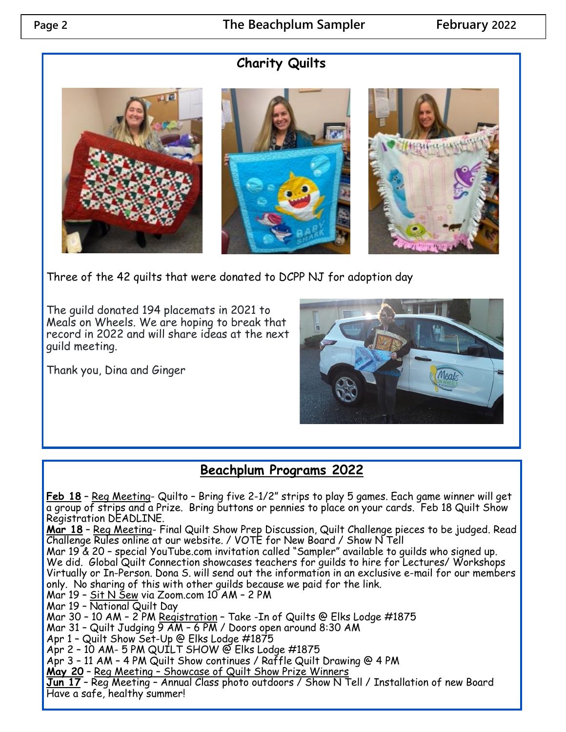## **Charity Quilts**







Three of the 42 quilts that were donated to DCPP NJ for adoption day

The guild donated 194 placemats in 2021 to Meals on Wheels. We are hoping to break that record in 2022 and will share ideas at the next guild meeting.

Thank you, Dina and Ginger



# **Beachplum Programs 2022**

**Feb 18** – Reg Meeting- Quilto – Bring five 2-1/2" strips to play 5 games. Each game winner will get a group of strips and a Prize. Bring buttons or pennies to place on your cards. Feb 18 Quilt Show Registration DEADLINE.

**Mar 18** – Reg Meeting- Final Quilt Show Prep Discussion, Quilt Challenge pieces to be judged. Read Challenge Rules online at our website. / VOTE for New Board / Show N Tell

Mar 19 & 20 – special YouTube.com invitation called "Sampler" available to guilds who signed up. We did. Global Quilt Connection showcases teachers for guilds to hire for Lectures/ Workshops Virtually or In-Person. Dona S. will send out the information in an exclusive e-mail for our members only. No sharing of this with other guilds because we paid for the link.

Mar 19 – <u>Sit N Šew</u> via Zoom.com 10 AM – 2 PM

Mar 19 – National Quilt Day

Mar 30 – 10 AM – 2 PM Registration – Take -In of Quilts @ Elks Lodge #1875

Mar 31 – Quilt Judging 9 AM – 6 PM / Doors open around 8:30 AM

Apr 1 – Quilt Show Set-Up @ Elks Lodge #1875

Apr 2 – 10 AM- 5 PM QUILT SHOW @ Elks Lodge #1875

Apr 3 – 11 AM – 4 PM Quilt Show continues / Raffle Quilt Drawing @ 4 PM

**May 20** – Reg Meeting – Showcase of Quilt Show Prize Winners

**Jun 17** – Reg Meeting – Annual Class photo outdoors / Show N Tell / Installation of new Board Have a safe, healthy summer!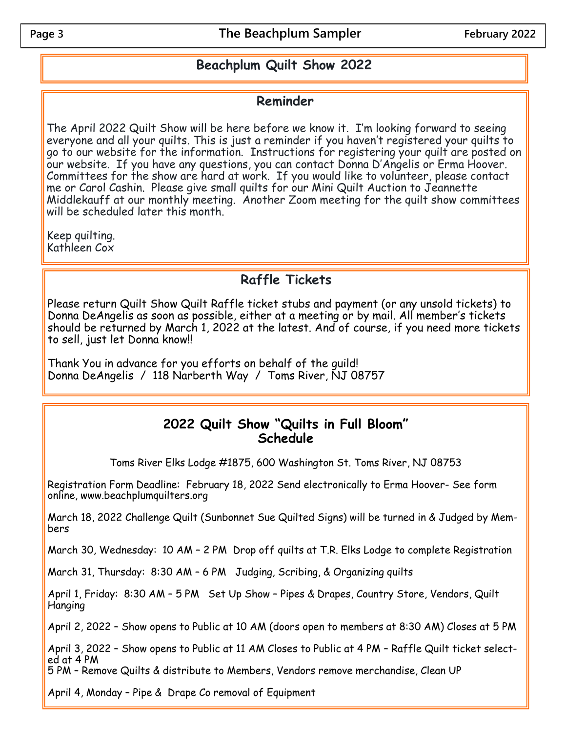#### **Beachplum Quilt Show 2022**

#### **Reminder**

The April 2022 Quilt Show will be here before we know it. I'm looking forward to seeing everyone and all your quilts. This is just a reminder if you haven't registered your quilts to go to our website for the information. Instructions for registering your quilt are posted on our website. If you have any questions, you can contact Donna D'Angelis or Erma Hoover. Committees for the show are hard at work. If you would like to volunteer, please contact me or Carol Cashin. Please give small quilts for our Mini Quilt Auction to Jeannette Middlekauff at our monthly meeting. Another Zoom meeting for the quilt show committees will be scheduled later this month.

Keep quilting. Kathleen Cox

## **Raffle Tickets**

Please return Quilt Show Quilt Raffle ticket stubs and payment (or any unsold tickets) to Donna DeAngelis as soon as possible, either at a meeting or by mail. All member's tickets should be returned by March 1, 2022 at the latest. And of course, if you need more tickets to sell, just let Donna know!!

Thank You in advance for you efforts on behalf of the guild! Donna DeAngelis / 118 Narberth Way / Toms River, NJ 08757

#### **2022 Quilt Show "Quilts in Full Bloom" Schedule**

Toms River Elks Lodge #1875, 600 Washington St. Toms River, NJ 08753

Registration Form Deadline: February 18, 2022 Send electronically to Erma Hoover- See form online, www.beachplumquilters.org

March 18, 2022 Challenge Quilt (Sunbonnet Sue Quilted Signs) will be turned in & Judged by Members

March 30, Wednesday: 10 AM – 2 PM Drop off quilts at T.R. Elks Lodge to complete Registration

March 31, Thursday: 8:30 AM – 6 PM Judging, Scribing, & Organizing quilts

April 1, Friday: 8:30 AM - 5 PM Set Up Show - Pipes & Drapes, Country Store, Vendors, Quilt Hanging

April 2, 2022 – Show opens to Public at 10 AM (doors open to members at 8:30 AM) Closes at 5 PM

April 3, 2022 – Show opens to Public at 11 AM Closes to Public at 4 PM – Raffle Quilt ticket selected at 4 PM

5 PM – Remove Quilts & distribute to Members, Vendors remove merchandise, Clean UP

April 4, Monday – Pipe & Drape Co removal of Equipment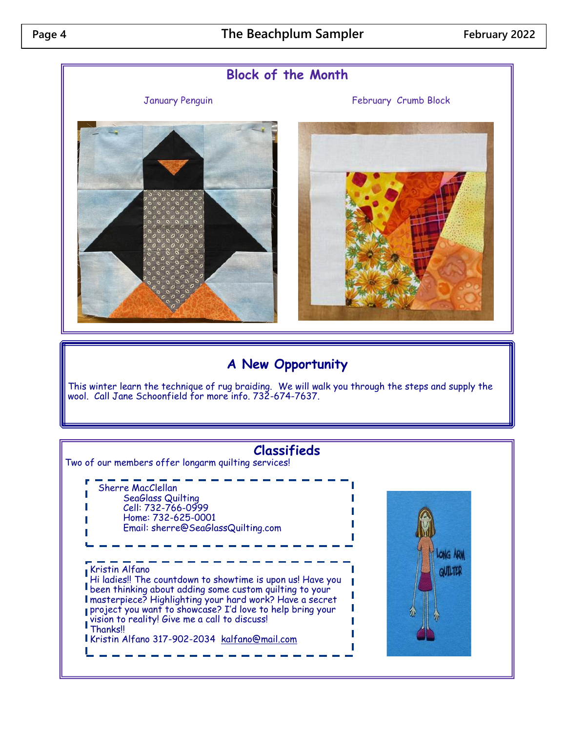